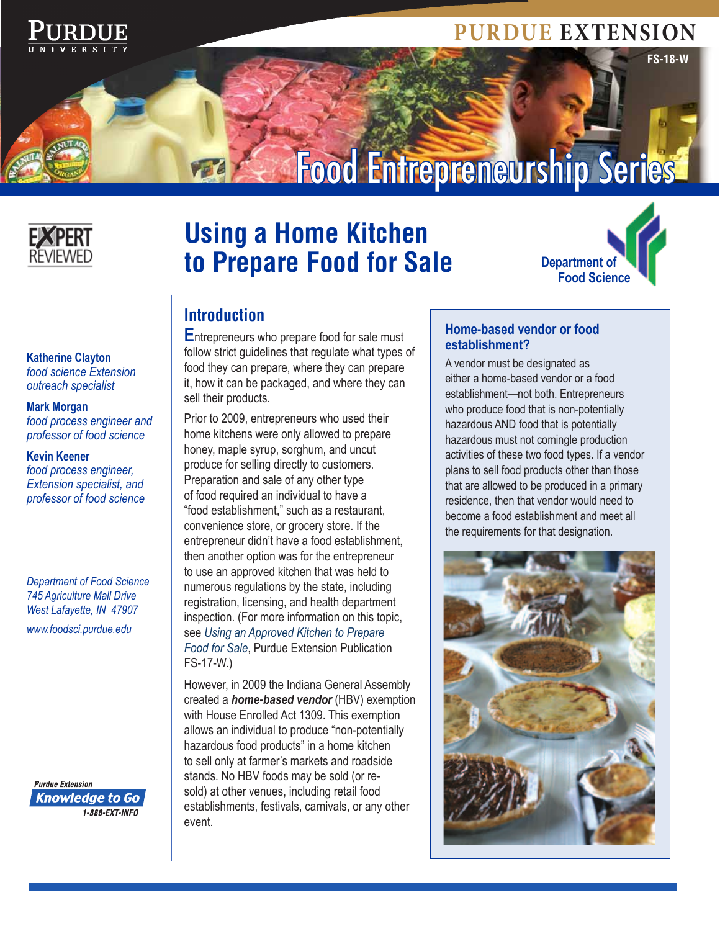

# **PURDUE EXTENSION**

**FS-18-W**

# Food Entrepreneurship Series



# **Using a Home Kitchen to Prepare Food for Sale**



#### **Introduction**

**E**ntrepreneurs who prepare food for sale must follow strict guidelines that regulate what types of food they can prepare, where they can prepare it, how it can be packaged, and where they can sell their products.

Prior to 2009, entrepreneurs who used their home kitchens were only allowed to prepare honey, maple syrup, sorghum, and uncut produce for selling directly to customers. Preparation and sale of any other type of food required an individual to have a "food establishment," such as a restaurant, convenience store, or grocery store. If the entrepreneur didn't have a food establishment, then another option was for the entrepreneur to use an approved kitchen that was held to numerous regulations by the state, including registration, licensing, and health department inspection. (For more information on this topic, see *Using an Approved Kitchen to Prepare Food for Sale*, Purdue Extension Publication FS-17-W.)

However, in 2009 the Indiana General Assembly created a *home-based vendor* (HBV) exemption with House Enrolled Act 1309. This exemption allows an individual to produce "non-potentially hazardous food products" in a home kitchen to sell only at farmer's markets and roadside stands. No HBV foods may be sold (or resold) at other venues, including retail food establishments, festivals, carnivals, or any other event.

#### **Home-based vendor or food establishment?**

A vendor must be designated as either a home-based vendor or a food establishment—not both. Entrepreneurs who produce food that is non-potentially hazardous AND food that is potentially hazardous must not comingle production activities of these two food types. If a vendor plans to sell food products other than those that are allowed to be produced in a primary residence, then that vendor would need to become a food establishment and meet all the requirements for that designation.



**Katherine Clayton** *food science Extension outreach specialist*

#### **Mark Morgan**

*food process engineer and professor of food science*

#### **Kevin Keener**

*food process engineer, Extension specialist, and professor of food science*

*Department of Food Science 745 Agriculture Mall Drive West Lafayette, IN 47907 www.foodsci.purdue.edu*

**Purdue Extension Knowledge to Go** 1-888-FXT-INFO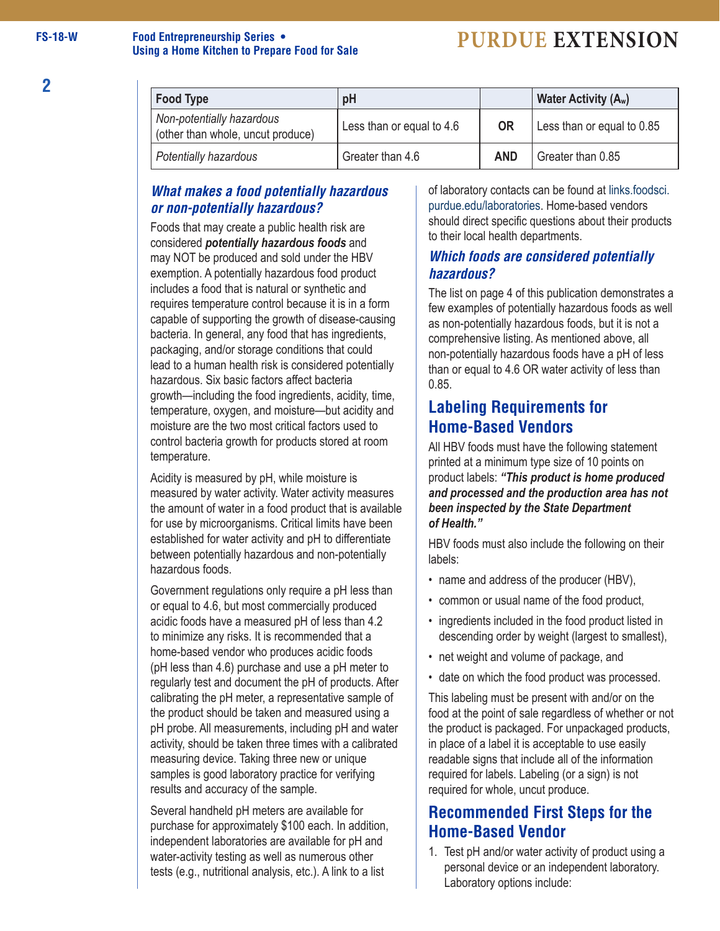#### **FS-18-W Food Entrepreneurship Series • Using a Home Kitchen to Prepare Food for Sale**

## **PURDUE EXTENSION**

| <b>Food Type</b>                                               | pH                        |            | Water Activity (A <sub>w</sub> ) |
|----------------------------------------------------------------|---------------------------|------------|----------------------------------|
| Non-potentially hazardous<br>(other than whole, uncut produce) | Less than or equal to 4.6 | <b>OR</b>  | Less than or equal to 0.85       |
| Potentially hazardous                                          | Greater than 4.6          | <b>AND</b> | Greater than 0.85                |

#### *What makes a food potentially hazardous or non-potentially hazardous?*

Foods that may create a public health risk are considered *potentially hazardous foods* and may NOT be produced and sold under the HBV exemption. A potentially hazardous food product includes a food that is natural or synthetic and requires temperature control because it is in a form capable of supporting the growth of disease-causing bacteria. In general, any food that has ingredients, packaging, and/or storage conditions that could lead to a human health risk is considered potentially hazardous. Six basic factors affect bacteria growth—including the food ingredients, acidity, time, temperature, oxygen, and moisture—but acidity and moisture are the two most critical factors used to control bacteria growth for products stored at room temperature.

Acidity is measured by pH, while moisture is measured by water activity. Water activity measures the amount of water in a food product that is available for use by microorganisms. Critical limits have been established for water activity and pH to differentiate between potentially hazardous and non-potentially hazardous foods.

Government regulations only require a pH less than or equal to 4.6, but most commercially produced acidic foods have a measured pH of less than 4.2 to minimize any risks. It is recommended that a home-based vendor who produces acidic foods (pH less than 4.6) purchase and use a pH meter to regularly test and document the pH of products. After calibrating the pH meter, a representative sample of the product should be taken and measured using a pH probe. All measurements, including pH and water activity, should be taken three times with a calibrated measuring device. Taking three new or unique samples is good laboratory practice for verifying results and accuracy of the sample.

Several handheld pH meters are available for purchase for approximately \$100 each. In addition, independent laboratories are available for pH and water-activity testing as well as numerous other tests (e.g., nutritional analysis, etc.). A link to a list

of laboratory contacts can be found at links.foodsci. purdue.edu/laboratories. Home-based vendors should direct specific questions about their products to their local health departments.

#### *Which foods are considered potentially hazardous?*

The list on page 4 of this publication demonstrates a few examples of potentially hazardous foods as well as non-potentially hazardous foods, but it is not a comprehensive listing. As mentioned above, all non-potentially hazardous foods have a pH of less than or equal to 4.6 OR water activity of less than 0.85.

### **Labeling Requirements for Home-Based Vendors**

All HBV foods must have the following statement printed at a minimum type size of 10 points on product labels: *"This product is home produced and processed and the production area has not been inspected by the State Department of Health."*

HBV foods must also include the following on their labels:

- name and address of the producer (HBV),
- common or usual name of the food product,
- ingredients included in the food product listed in descending order by weight (largest to smallest),
- net weight and volume of package, and
- date on which the food product was processed.

This labeling must be present with and/or on the food at the point of sale regardless of whether or not the product is packaged. For unpackaged products, in place of a label it is acceptable to use easily readable signs that include all of the information required for labels. Labeling (or a sign) is not required for whole, uncut produce.

### **Recommended First Steps for the Home-Based Vendor**

1. Test pH and/or water activity of product using a personal device or an independent laboratory. Laboratory options include: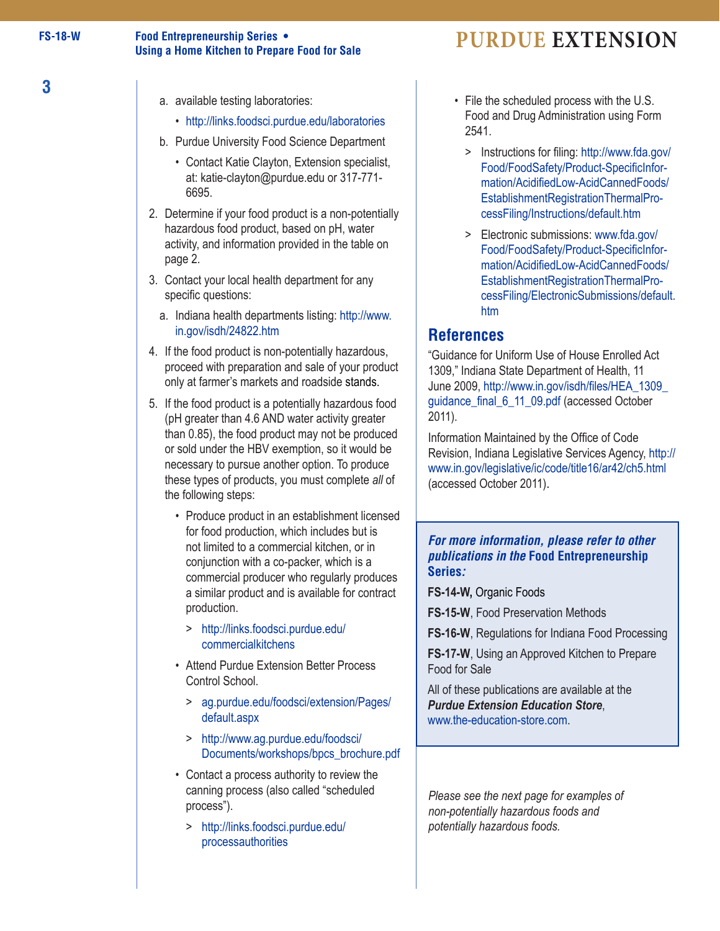**3**

#### **Using a Home Kitchen to Prepare Food for Sale Food Entrepreneurship Series • PURDUE EXTENSION**

- a. available testing laboratories:
	- http://links.foodsci.purdue.edu/laboratories
- b. Purdue University Food Science Department
	- Contact Katie Clayton, Extension specialist, at: katie-clayton@purdue.edu or 317-771- 6695.
- 2. Determine if your food product is a non-potentially hazardous food product, based on pH, water activity, and information provided in the table on page 2.
- 3. Contact your local health department for any specific questions:
	- a. [Indiana health departments listing: http://www.](http://www.in.gov/isdh/24822.htm) in.gov/isdh/24822.htm
- 4. If the food product is non-potentially hazardous, proceed with preparation and sale of your product only at farmer's markets and roadside stands.
- 5. If the food product is a potentially hazardous food (pH greater than 4.6 AND water activity greater than 0.85), the food product may not be produced or sold under the HBV exemption, so it would be necessary to pursue another option. To produce these types of products, you must complete *all* of the following steps:
	- Produce product in an establishment licensed for food production, which includes but is not limited to a commercial kitchen, or in conjunction with a co-packer, which is a commercial producer who regularly produces a similar product and is available for contract production.
		- > [http://links.foodsci.purdue.edu/](http://links.foodsci.purdue.edu/commercialkitchens) commercialkitchens
	- Attend Purdue Extension Better Process Control School.
		- > [ag.purdue.edu/foodsci/extension/Pages/](ag.purdue.edu/foodsci/extension/Pages/default.aspx) default.aspx
		- > http://www.ag.purdue.edu/foodsci/ [Documents/workshops/bpcs\\_brochure.pdf](http://www.ag.purdue.edu/foodsci/Documents/workshops/bpcs_brochure.pdf)
	- Contact a process authority to review the canning process (also called "scheduled process").
		- > [http://links.foodsci.purdue.edu/](http://links.foodsci.purdue.edu/processauthorities) processauthorities
- File the scheduled process with the U.S. Food and Drug Administration using Form 2541.
	- > Instructions for filing: http://www.fda.gov/ Food/FoodSafety/Product-SpecificInfor [mation/AcidifiedLow-AcidCannedFoods/](http://www.fda.gov/Food/FoodSafety/Product-SpecificInformation/AcidifiedLow-AcidCannedFoods/EstablishmentRegistrationThermalProcessFiling/Instructions/default.htm) EstablishmentRegistrationThermalPro cessFiling/Instructions/default.htm
	- > Electronic submissions: www.fda.gov/ Food/FoodSafety/Product-SpecificInfor mation/AcidifiedLow-AcidCannedFoods/ EstablishmentRegistrationThermalPro [cessFiling/ElectronicSubmissions/default.](www.fda.gov/Food/FoodSafety/Product-SpecificInformation/AcidifiedLow-AcidCannedFoods/EstablishmentRegistrationThermalProcessFiling/ElectronicSubmissions/default.htm) htm

#### **References**

"Guidance for Uniform Use of House Enrolled Act 1309," Indiana State Department of Health, 11 June 2009, [http://www.in.gov/isdh/files/HEA\\_1309\\_](http://www.in.gov/isdh/files/HEA_1309_guidance_final_6_11_09.pdf) guidance\_final\_6\_11\_09.pdf (accessed October 2011).

Information Maintained by the Office of Code Revision, Indiana Legislative Services Agency, http:// [www.in.gov/legislative/ic/code/title16/ar42/ch5.html](http://www.in.gov/legislative/ic/code/title16/ar42/ch5.html)  (accessed October 2011) .

#### *For more information, please refer to other publications in the* **Food Entrepreneurship Series** *:*

**FS-14-W,** Organic Foods

**FS-15-W**, Food Preservation Methods

**FS-16-W**, Regulations for Indiana Food Processing

**FS-17-W**, Using an Approved Kitchen to Prepare Food for Sale

All of these publications are available at the *Purdue Extension Education Store*, www.the-education-store.com .

*Please see the next page for examples of non-potentially hazardous foods and potentially hazardous foods.*